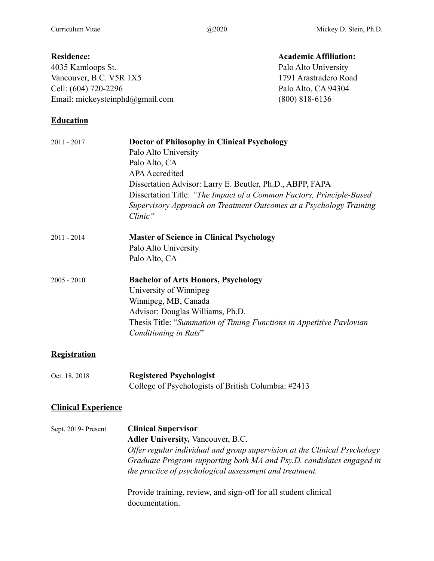## **Residence:** Academic Affiliation:

4035 Kamloops St. Palo Alto University Vancouver, B.C. V5R 1X5 1791 Arastradero Road Cell: (604) 720-2296 Palo Alto, CA 94304 Email: mickeysteinphd@gmail.com (800) 818-6136

## **Education**

2011 - 2017 **Doctor of Philosophy in Clinical Psychology** Palo Alto University Palo Alto, CA APA Accredited Dissertation Advisor: Larry E. Beutler, Ph.D., ABPP, FAPA Dissertation Title: *"The Impact of a Common Factors, Principle-Based Supervisory Approach on Treatment Outcomes at a Psychology Training Clinic"*  2011 - 2014 **Master of Science in Clinical Psychology**  Palo Alto University Palo Alto, CA 2005 - 2010 **Bachelor of Arts Honors, Psychology**  University of Winnipeg Winnipeg, MB, Canada Advisor: Douglas Williams, Ph.D. Thesis Title: "*Summation of Timing Functions in Appetitive Pavlovian Conditioning in Rats*"

## **Registration**

Oct. 18, 2018 **Registered Psychologist**  College of Psychologists of British Columbia: #2413

## **Clinical Experience**

Sept. 2019- Present **Clinical Supervisor Adler University,** Vancouver, B.C. *Offer regular individual and group supervision at the Clinical Psychology Graduate Program supporting both MA and Psy.D. candidates engaged in the practice of psychological assessment and treatment.* 

> Provide training, review, and sign-off for all student clinical documentation.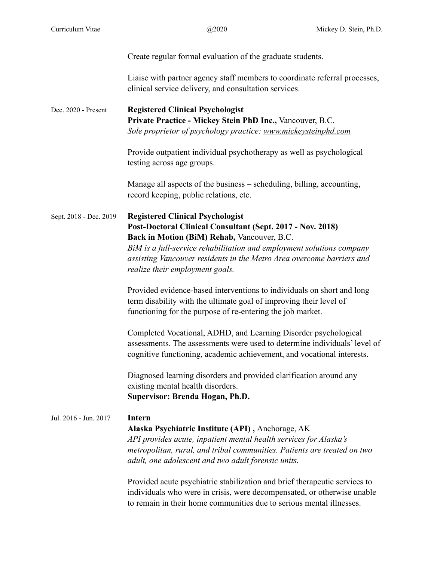|                        | Create regular formal evaluation of the graduate students.                                                                                                                                                                                                                                                                                |
|------------------------|-------------------------------------------------------------------------------------------------------------------------------------------------------------------------------------------------------------------------------------------------------------------------------------------------------------------------------------------|
|                        | Liaise with partner agency staff members to coordinate referral processes,<br>clinical service delivery, and consultation services.                                                                                                                                                                                                       |
| Dec. 2020 - Present    | <b>Registered Clinical Psychologist</b><br>Private Practice - Mickey Stein PhD Inc., Vancouver, B.C.<br>Sole proprietor of psychology practice: www.mickeysteinphd.com                                                                                                                                                                    |
|                        | Provide outpatient individual psychotherapy as well as psychological<br>testing across age groups.                                                                                                                                                                                                                                        |
|                        | Manage all aspects of the business – scheduling, billing, accounting,<br>record keeping, public relations, etc.                                                                                                                                                                                                                           |
| Sept. 2018 - Dec. 2019 | <b>Registered Clinical Psychologist</b><br>Post-Doctoral Clinical Consultant (Sept. 2017 - Nov. 2018)<br>Back in Motion (BiM) Rehab, Vancouver, B.C.<br>BiM is a full-service rehabilitation and employment solutions company<br>assisting Vancouver residents in the Metro Area overcome barriers and<br>realize their employment goals. |
|                        | Provided evidence-based interventions to individuals on short and long<br>term disability with the ultimate goal of improving their level of<br>functioning for the purpose of re-entering the job market.                                                                                                                                |
|                        | Completed Vocational, ADHD, and Learning Disorder psychological<br>assessments. The assessments were used to determine individuals' level of<br>cognitive functioning, academic achievement, and vocational interests.                                                                                                                    |
|                        | Diagnosed learning disorders and provided clarification around any<br>existing mental health disorders.<br>Supervisor: Brenda Hogan, Ph.D.                                                                                                                                                                                                |
| Jul. 2016 - Jun. 2017  | Intern<br>Alaska Psychiatric Institute (API), Anchorage, AK<br>API provides acute, inpatient mental health services for Alaska's<br>metropolitan, rural, and tribal communities. Patients are treated on two<br>adult, one adolescent and two adult forensic units.                                                                       |
|                        | Provided acute psychiatric stabilization and brief therapeutic services to<br>individuals who were in crisis, were decompensated, or otherwise unable<br>to remain in their home communities due to serious mental illnesses.                                                                                                             |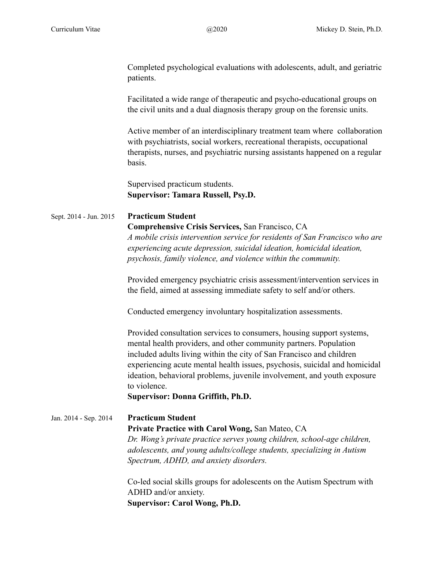Completed psychological evaluations with adolescents, adult, and geriatric patients.

Facilitated a wide range of therapeutic and psycho-educational groups on the civil units and a dual diagnosis therapy group on the forensic units.

Active member of an interdisciplinary treatment team where collaboration with psychiatrists, social workers, recreational therapists, occupational therapists, nurses, and psychiatric nursing assistants happened on a regular basis.

Supervised practicum students.  **Supervisor: Tamara Russell, Psy.D.**

## Sept. 2014 - Jun. 2015 **Practicum Student**

## **Comprehensive Crisis Services,** San Francisco, CA

*A mobile crisis intervention service for residents of San Francisco who are experiencing acute depression, suicidal ideation, homicidal ideation, psychosis, family violence, and violence within the community.* 

Provided emergency psychiatric crisis assessment/intervention services in the field, aimed at assessing immediate safety to self and/or others.

Conducted emergency involuntary hospitalization assessments.

Provided consultation services to consumers, housing support systems, mental health providers, and other community partners. Population included adults living within the city of San Francisco and children experiencing acute mental health issues, psychosis, suicidal and homicidal ideation, behavioral problems, juvenile involvement, and youth exposure to violence.

 **Supervisor: Donna Griffith, Ph.D.** 

# Jan. 2014 - Sep. 2014 **Practicum Student Private Practice with Carol Wong,** San Mateo, CA *Dr. Wong's private practice serves young children, school-age children, adolescents, and young adults/college students, specializing in Autism Spectrum, ADHD, and anxiety disorders.*

Co-led social skills groups for adolescents on the Autism Spectrum with ADHD and/or anxiety.  **Supervisor: Carol Wong, Ph.D.**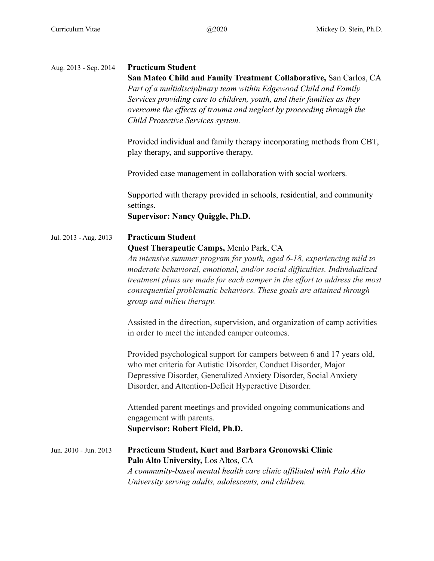| Aug. 2013 - Sep. 2014 | <b>Practicum Student</b><br>San Mateo Child and Family Treatment Collaborative, San Carlos, CA<br>Part of a multidisciplinary team within Edgewood Child and Family<br>Services providing care to children, youth, and their families as they<br>overcome the effects of trauma and neglect by proceeding through the<br>Child Protective Services system.<br>Provided individual and family therapy incorporating methods from CBT, |
|-----------------------|--------------------------------------------------------------------------------------------------------------------------------------------------------------------------------------------------------------------------------------------------------------------------------------------------------------------------------------------------------------------------------------------------------------------------------------|
|                       | play therapy, and supportive therapy.<br>Provided case management in collaboration with social workers.                                                                                                                                                                                                                                                                                                                              |
|                       | Supported with therapy provided in schools, residential, and community<br>settings.<br><b>Supervisor: Nancy Quiggle, Ph.D.</b>                                                                                                                                                                                                                                                                                                       |
| Jul. 2013 - Aug. 2013 | <b>Practicum Student</b><br>Quest Therapeutic Camps, Menlo Park, CA<br>An intensive summer program for youth, aged 6-18, experiencing mild to<br>moderate behavioral, emotional, and/or social difficulties. Individualized<br>treatment plans are made for each camper in the effort to address the most<br>consequential problematic behaviors. These goals are attained through<br>group and milieu therapy.                      |
|                       | Assisted in the direction, supervision, and organization of camp activities<br>in order to meet the intended camper outcomes.<br>Provided psychological support for campers between 6 and 17 years old,<br>who met criteria for Autistic Disorder, Conduct Disorder, Major<br>Depressive Disorder, Generalized Anxiety Disorder, Social Anxiety<br>Disorder, and Attention-Deficit Hyperactive Disorder.                             |
|                       | Attended parent meetings and provided ongoing communications and<br>engagement with parents.<br><b>Supervisor: Robert Field, Ph.D.</b>                                                                                                                                                                                                                                                                                               |
| Jun. 2010 - Jun. 2013 | Practicum Student, Kurt and Barbara Gronowski Clinic<br>Palo Alto University, Los Altos, CA<br>A community-based mental health care clinic affiliated with Palo Alto<br>University serving adults, adolescents, and children.                                                                                                                                                                                                        |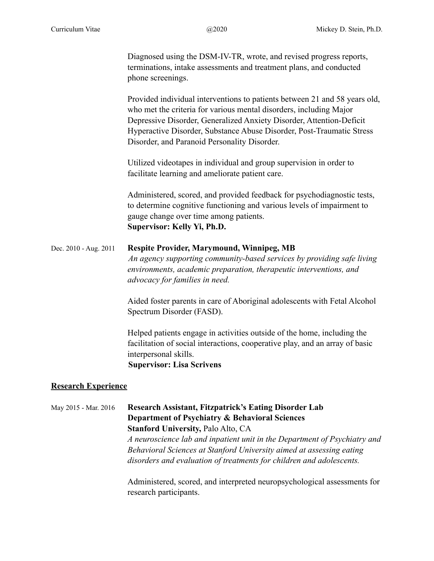Diagnosed using the DSM-IV-TR, wrote, and revised progress reports, terminations, intake assessments and treatment plans, and conducted phone screenings.

Provided individual interventions to patients between 21 and 58 years old, who met the criteria for various mental disorders, including Major Depressive Disorder, Generalized Anxiety Disorder, Attention-Deficit Hyperactive Disorder, Substance Abuse Disorder, Post-Traumatic Stress Disorder, and Paranoid Personality Disorder.

Utilized videotapes in individual and group supervision in order to facilitate learning and ameliorate patient care.

Administered, scored, and provided feedback for psychodiagnostic tests, to determine cognitive functioning and various levels of impairment to gauge change over time among patients.  **Supervisor: Kelly Yi, Ph.D.** 

# Dec. 2010 - Aug. 2011 **Respite Provider, Marymound, Winnipeg, MB**  *An agency supporting community-based services by providing safe living environments, academic preparation, therapeutic interventions, and advocacy for families in need.*

Aided foster parents in care of Aboriginal adolescents with Fetal Alcohol Spectrum Disorder (FASD).

Helped patients engage in activities outside of the home, including the facilitation of social interactions, cooperative play, and an array of basic interpersonal skills.  **Supervisor: Lisa Scrivens**

## **Research Experience**

May 2015 - Mar. 2016 **Research Assistant, Fitzpatrick's Eating Disorder Lab Department of Psychiatry & Behavioral Sciences Stanford University,** Palo Alto, CA *A neuroscience lab and inpatient unit in the Department of Psychiatry and Behavioral Sciences at Stanford University aimed at assessing eating disorders and evaluation of treatments for children and adolescents.* 

> Administered, scored, and interpreted neuropsychological assessments for research participants.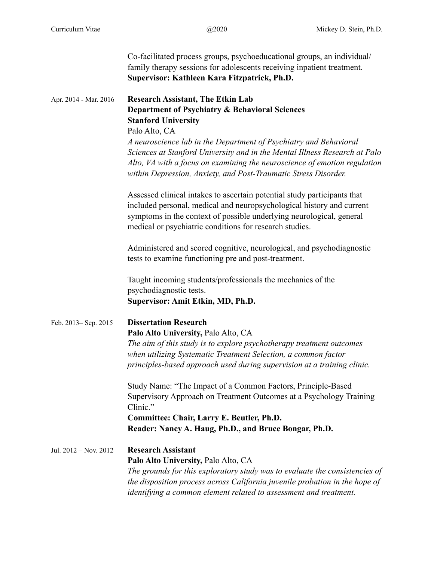|                       | Co-facilitated process groups, psychoeducational groups, an individual/<br>family therapy sessions for adolescents receiving inpatient treatment.<br>Supervisor: Kathleen Kara Fitzpatrick, Ph.D.                                                                                                   |
|-----------------------|-----------------------------------------------------------------------------------------------------------------------------------------------------------------------------------------------------------------------------------------------------------------------------------------------------|
| Apr. 2014 - Mar. 2016 | <b>Research Assistant, The Etkin Lab</b><br>Department of Psychiatry & Behavioral Sciences<br><b>Stanford University</b><br>Palo Alto, CA                                                                                                                                                           |
|                       | A neuroscience lab in the Department of Psychiatry and Behavioral<br>Sciences at Stanford University and in the Mental Illness Research at Palo<br>Alto, VA with a focus on examining the neuroscience of emotion regulation<br>within Depression, Anxiety, and Post-Traumatic Stress Disorder.     |
|                       | Assessed clinical intakes to ascertain potential study participants that<br>included personal, medical and neuropsychological history and current<br>symptoms in the context of possible underlying neurological, general<br>medical or psychiatric conditions for research studies.                |
|                       | Administered and scored cognitive, neurological, and psychodiagnostic<br>tests to examine functioning pre and post-treatment.                                                                                                                                                                       |
|                       | Taught incoming students/professionals the mechanics of the<br>psychodiagnostic tests.<br>Supervisor: Amit Etkin, MD, Ph.D.                                                                                                                                                                         |
| Feb. 2013-Sep. 2015   | <b>Dissertation Research</b><br>Palo Alto University, Palo Alto, CA<br>The aim of this study is to explore psychotherapy treatment outcomes<br>when utilizing Systematic Treatment Selection, a common factor<br>principles-based approach used during supervision at a training clinic.            |
|                       | Study Name: "The Impact of a Common Factors, Principle-Based<br>Supervisory Approach on Treatment Outcomes at a Psychology Training<br>Clinic."<br>Committee: Chair, Larry E. Beutler, Ph.D.<br>Reader: Nancy A. Haug, Ph.D., and Bruce Bongar, Ph.D.                                               |
| Jul. 2012 - Nov. 2012 | <b>Research Assistant</b><br>Palo Alto University, Palo Alto, CA<br>The grounds for this exploratory study was to evaluate the consistencies of<br>the disposition process across California juvenile probation in the hope of<br>identifying a common element related to assessment and treatment. |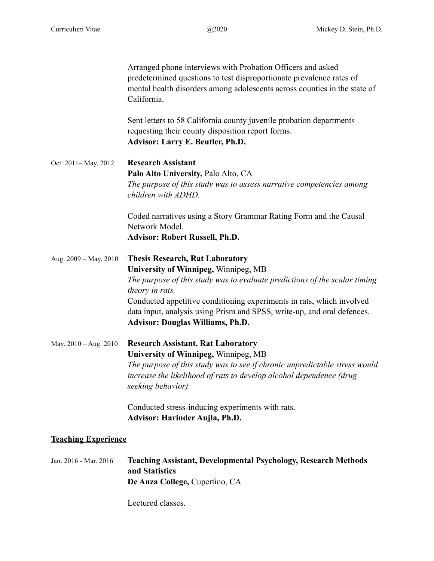Arranged phone interviews with Probation Officers and asked predetermined questions to test disproportionate prevalence rates of mental health disorders among adolescents across counties in the state of California. Sent letters to 58 California county juvenile probation departments requesting their county disposition report forms. **Advisor: Larry E. Beutler, Ph.D.**  Oct. 2011– May. 2012 **Research Assistant Palo Alto University,** Palo Alto, CA *The purpose of this study was to assess narrative competencies among children with ADHD.*  Coded narratives using a Story Grammar Rating Form and the Causal Network Model. **Advisor: Robert Russell, Ph.D.**  Aug. 2009 – May. 2010 **Thesis Research, Rat Laboratory University of Winnipeg,** Winnipeg, MB *The purpose of this study was to evaluate predictions of the scalar timing theory in rats.*  Conducted appetitive conditioning experiments in rats, which involved data input, analysis using Prism and SPSS, write-up, and oral defences.  **Advisor: Douglas Williams, Ph.D.**  May. 2010 – Aug. 2010 **Research Assistant, Rat Laboratory University of Winnipeg,** Winnipeg, MB *The purpose of this study was to see if chronic unpredictable stress would increase the likelihood of rats to develop alcohol dependence (drug seeking behavior).*  Conducted stress-inducing experiments with rats. **Advisor: Harinder Aujla, Ph.D.** 

## **Teaching Experience**

Jan. 2016 - Mar. 2016 **Teaching Assistant, Developmental Psychology, Research Methods and Statistics De Anza College,** Cupertino, CA

Lectured classes.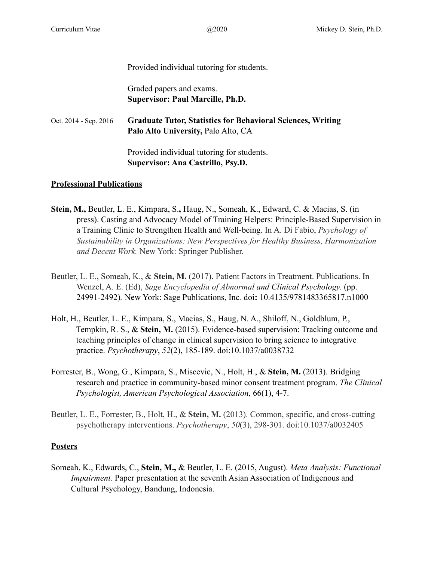#### Provided individual tutoring for students.

 Graded papers and exams. **Supervisor: Paul Marcille, Ph.D.** 

Oct. 2014 - Sep. 2016 **Graduate Tutor, Statistics for Behavioral Sciences, Writing Palo Alto University,** Palo Alto, CA

> Provided individual tutoring for students. **Supervisor: Ana Castrillo, Psy.D.**

## **Professional Publications**

- **Stein, M.,** Beutler, L. E., Kimpara, S.**,** Haug, N., Someah, K., Edward, C. & Macias, S. (in press). Casting and Advocacy Model of Training Helpers: Principle-Based Supervision in a Training Clinic to Strengthen Health and Well-being. In A. Di Fabio, *Psychology of Sustainability in Organizations: New Perspectives for Healthy Business, Harmonization and Decent Work.* New York: Springer Publisher.
- Beutler, L. E., Someah, K., & **Stein, M.** (2017). Patient Factors in Treatment. Publications. In Wenzel, A. E. (Ed), *Sage Encyclopedia of Abnormal and Clinical Psychology.* (pp. 24991-2492)*.* New York: Sage Publications, Inc*.* doi**:** 10.4135/9781483365817.n1000
- Holt, H., Beutler, L. E., Kimpara, S., Macias, S., Haug, N. A., Shiloff, N., Goldblum, P., Tempkin, R. S., & **Stein, M.** (2015). Evidence-based supervision: Tracking outcome and teaching principles of change in clinical supervision to bring science to integrative practice. *Psychotherapy*, *52*(2), 185-189. doi:10.1037/a0038732
- Forrester, B., Wong, G., Kimpara, S., Miscevic, N., Holt, H., & **Stein, M.** (2013). Bridging research and practice in community-based minor consent treatment program. *The Clinical Psychologist, American Psychological Association*, 66(1), 4-7.
- Beutler, L. E., Forrester, B., Holt, H., & **Stein, M.** (2013). Common, specific, and cross-cutting psychotherapy interventions. *Psychotherapy*, *50*(3), 298-301. doi:10.1037/a0032405

## **Posters**

Someah, K., Edwards, C., **Stein, M.,** & Beutler, L. E. (2015, August). *Meta Analysis: Functional Impairment.* Paper presentation at the seventh Asian Association of Indigenous and Cultural Psychology, Bandung, Indonesia.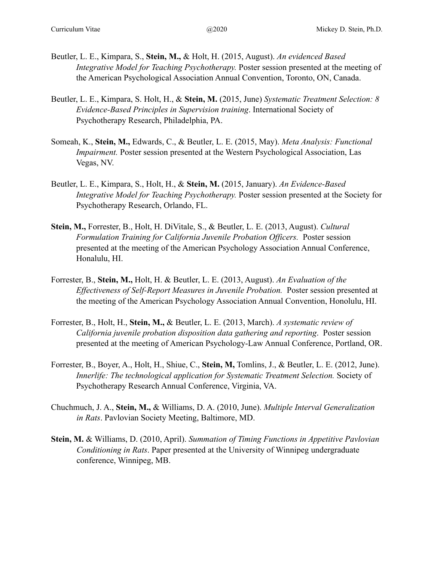- Beutler, L. E., Kimpara, S., **Stein, M.,** & Holt, H. (2015, August). *An evidenced Based Integrative Model for Teaching Psychotherapy.* Poster session presented at the meeting of the American Psychological Association Annual Convention, Toronto, ON, Canada.
- Beutler, L. E., Kimpara, S. Holt, H., & **Stein, M.** (2015, June) *Systematic Treatment Selection: 8 Evidence-Based Principles in Supervision training*. International Society of Psychotherapy Research, Philadelphia, PA.
- Someah, K., **Stein, M.,** Edwards, C., & Beutler, L. E. (2015, May). *Meta Analysis: Functional Impairment.* Poster session presented at the Western Psychological Association, Las Vegas, NV.
- Beutler, L. E., Kimpara, S., Holt, H., & **Stein, M.** (2015, January). *An Evidence-Based Integrative Model for Teaching Psychotherapy.* Poster session presented at the Society for Psychotherapy Research, Orlando, FL.
- **Stein, M.,** Forrester, B., Holt, H. DiVitale, S., & Beutler, L. E. (2013, August). *Cultural Formulation Training for California Juvenile Probation Officers.* Poster session presented at the meeting of the American Psychology Association Annual Conference, Honalulu, HI.
- Forrester, B., **Stein, M.,** Holt, H. & Beutler, L. E. (2013, August). *An Evaluation of the Effectiveness of Self-Report Measures in Juvenile Probation.* Poster session presented at the meeting of the American Psychology Association Annual Convention, Honolulu, HI.
- Forrester, B., Holt, H., **Stein, M.,** & Beutler, L. E. (2013, March). *A systematic review of California juvenile probation disposition data gathering and reporting*. Poster session presented at the meeting of American Psychology-Law Annual Conference, Portland, OR.
- Forrester, B., Boyer, A., Holt, H., Shiue, C., **Stein, M,** Tomlins, J., & Beutler, L. E. (2012, June). *Innerlife: The technological application for Systematic Treatment Selection. Society of* Psychotherapy Research Annual Conference, Virginia, VA.
- Chuchmuch, J. A., **Stein, M.,** & Williams, D. A. (2010, June). *Multiple Interval Generalization in Rats*. Pavlovian Society Meeting, Baltimore, MD.
- **Stein, M.** & Williams, D. (2010, April). *Summation of Timing Functions in Appetitive Pavlovian Conditioning in Rats*. Paper presented at the University of Winnipeg undergraduate conference, Winnipeg, MB.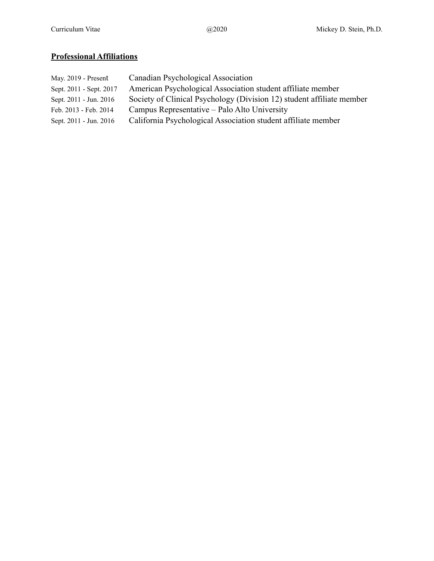# **Professional Affiliations**

| May. 2019 - Present     | Canadian Psychological Association                                    |
|-------------------------|-----------------------------------------------------------------------|
| Sept. 2011 - Sept. 2017 | American Psychological Association student affiliate member           |
| Sept. 2011 - Jun. 2016  | Society of Clinical Psychology (Division 12) student affiliate member |
| Feb. 2013 - Feb. 2014   | Campus Representative – Palo Alto University                          |
| Sept. 2011 - Jun. 2016  | California Psychological Association student affiliate member         |